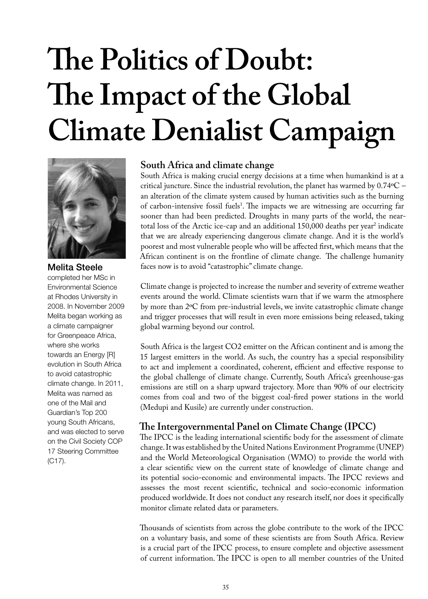# **The Politics of Doubt: The Impact of the Global Climate Denialist Campaign**



# Melita Steele

completed her MSc in Environmental Science at Rhodes University in 2008. In November 2009 Melita began working as a climate campaigner for Greenpeace Africa, where she works towards an Energy [R] evolution in South Africa to avoid catastrophic climate change. In 2011, Melita was named as one of the Mail and Guardian's Top 200 young South Africans, and was elected to serve on the Civil Society COP 17 Steering Committee (C17).

#### **South Africa and climate change**

South Africa is making crucial energy decisions at a time when humankind is at a critical juncture. Since the industrial revolution, the planet has warmed by 0.74ºC – an alteration of the climate system caused by human activities such as the burning of carbon-intensive fossil fuels<sup>1</sup>. The impacts we are witnessing are occurring far sooner than had been predicted. Droughts in many parts of the world, the neartotal loss of the Arctic ice-cap and an additional 150,000 deaths per year<sup>2</sup> indicate that we are already experiencing dangerous climate change. And it is the world's poorest and most vulnerable people who will be affected first, which means that the African continent is on the frontline of climate change. The challenge humanity faces now is to avoid "catastrophic" climate change.

Climate change is projected to increase the number and severity of extreme weather events around the world. Climate scientists warn that if we warm the atmosphere by more than 2ºC from pre-industrial levels, we invite catastrophic climate change and trigger processes that will result in even more emissions being released, taking global warming beyond our control.

South Africa is the largest CO2 emitter on the African continent and is among the 15 largest emitters in the world. As such, the country has a special responsibility to act and implement a coordinated, coherent, efficient and effective response to the global challenge of climate change. Currently, South Africa's greenhouse-gas emissions are still on a sharp upward trajectory. More than 90% of our electricity comes from coal and two of the biggest coal-fired power stations in the world (Medupi and Kusile) are currently under construction.

# **The Intergovernmental Panel on Climate Change (IPCC)**

The IPCC is the leading international scientific body for the assessment of climate change. It was established by the United Nations Environment Programme (UNEP) and the World Meteorological Organisation (WMO) to provide the world with a clear scientific view on the current state of knowledge of climate change and its potential socio-economic and environmental impacts. The IPCC reviews and assesses the most recent scientific, technical and socio-economic information produced worldwide. It does not conduct any research itself, nor does it specifically monitor climate related data or parameters.

Thousands of scientists from across the globe contribute to the work of the IPCC on a voluntary basis, and some of these scientists are from South Africa. Review is a crucial part of the IPCC process, to ensure complete and objective assessment of current information. The IPCC is open to all member countries of the United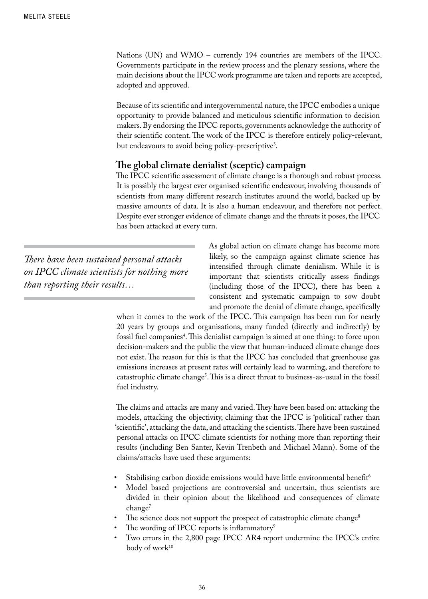Nations (UN) and WMO – currently 194 countries are members of the IPCC. Governments participate in the review process and the plenary sessions, where the main decisions about the IPCC work programme are taken and reports are accepted, adopted and approved.

Because of its scientific and intergovernmental nature, the IPCC embodies a unique opportunity to provide balanced and meticulous scientific information to decision makers. By endorsing the IPCC reports, governments acknowledge the authority of their scientific content. The work of the IPCC is therefore entirely policy-relevant, but endeavours to avoid being policy-prescriptive<sup>3</sup>.

#### **The global climate denialist (sceptic) campaign**

The IPCC scientific assessment of climate change is a thorough and robust process. It is possibly the largest ever organised scientific endeavour, involving thousands of scientists from many different research institutes around the world, backed up by massive amounts of data. It is also a human endeavour, and therefore not perfect. Despite ever stronger evidence of climate change and the threats it poses, the IPCC has been attacked at every turn.

*There have been sustained personal attacks on IPCC climate scientists for nothing more than reporting their results…*

As global action on climate change has become more likely, so the campaign against climate science has intensified through climate denialism. While it is important that scientists critically assess findings (including those of the IPCC), there has been a consistent and systematic campaign to sow doubt and promote the denial of climate change, specifically

when it comes to the work of the IPCC. This campaign has been run for nearly 20 years by groups and organisations, many funded (directly and indirectly) by fossil fuel companies4 . This denialist campaign is aimed at one thing: to force upon decision-makers and the public the view that human-induced climate change does not exist. The reason for this is that the IPCC has concluded that greenhouse gas emissions increases at present rates will certainly lead to warming, and therefore to catastrophic climate change5 . This is a direct threat to business-as-usual in the fossil fuel industry.

The claims and attacks are many and varied. They have been based on: attacking the models, attacking the objectivity, claiming that the IPCC is 'political' rather than 'scientific', attacking the data, and attacking the scientists. There have been sustained personal attacks on IPCC climate scientists for nothing more than reporting their results (including Ben Santer, Kevin Trenbeth and Michael Mann). Some of the claims/attacks have used these arguments:

- Stabilising carbon dioxide emissions would have little environmental benefit<sup>6</sup>
- Model based projections are controversial and uncertain, thus scientists are divided in their opinion about the likelihood and consequences of climate change<sup>7</sup>
- The science does not support the prospect of catastrophic climate change<sup>8</sup>
- The wording of IPCC reports is inflammatory<sup>9</sup>
- Two errors in the 2,800 page IPCC AR4 report undermine the IPCC's entire body of work<sup>10</sup>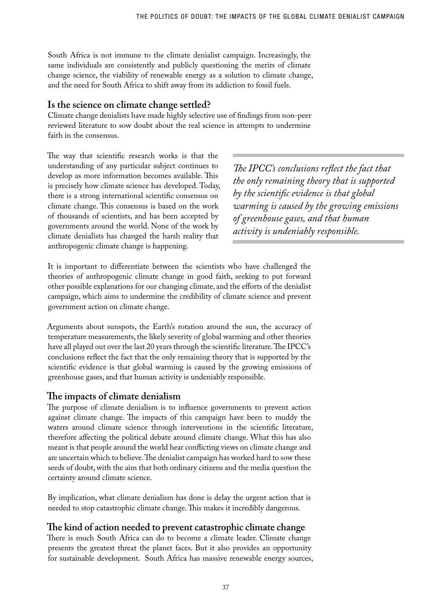South Africa is not immune to the climate denialist campaign. Increasingly, the same individuals are consistently and publicly questioning the merits of climate change science, the viability of renewable energy as a solution to climate change, and the need for South Africa to shift away from its addiction to fossil fuels.

### **Is the science on climate change settled?**

Climate change denialists have made highly selective use of findings from non-peer reviewed literature to sow doubt about the real science in attempts to undermine faith in the consensus.

The way that scientific research works is that the understanding of any particular subject continues to develop as more information becomes available. This is precisely how climate science has developed. Today, there is a strong international scientific consensus on climate change. This consensus is based on the work of thousands of scientists, and has been accepted by governments around the world. None of the work by climate denialists has changed the harsh reality that anthropogenic climate change is happening.

*The IPCC's conclusions reflect the fact that the only remaining theory that is supported by the scientific evidence is that global warming is caused by the growing emissions of greenhouse gases, and that human activity is undeniably responsible.*

It is important to differentiate between the scientists who have challenged the theories of anthropogenic climate change in good faith, seeking to put forward other possible explanations for our changing climate, and the efforts of the denialist campaign, which aims to undermine the credibility of climate science and prevent government action on climate change.

Arguments about sunspots, the Earth's rotation around the sun, the accuracy of temperature measurements, the likely severity of global warming and other theories have all played out over the last 20 years through the scientific literature. The IPCC's conclusions reflect the fact that the only remaining theory that is supported by the scientific evidence is that global warming is caused by the growing emissions of greenhouse gases, and that human activity is undeniably responsible.

# **The impacts of climate denialism**

The purpose of climate denialism is to influence governments to prevent action against climate change. The impacts of this campaign have been to muddy the waters around climate science through interventions in the scientific literature, therefore affecting the political debate around climate change. What this has also meant is that people around the world hear conflicting views on climate change and are uncertain which to believe. The denialist campaign has worked hard to sow these seeds of doubt, with the aim that both ordinary citizens and the media question the certainty around climate science.

By implication, what climate denialism has done is delay the urgent action that is needed to stop catastrophic climate change. This makes it incredibly dangerous.

# **The kind of action needed to prevent catastrophic climate change**

There is much South Africa can do to become a climate leader. Climate change presents the greatest threat the planet faces. But it also provides an opportunity for sustainable development. South Africa has massive renewable energy sources,